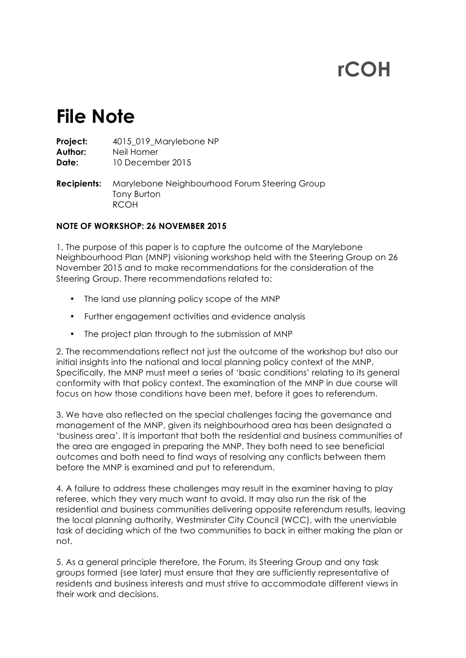# **rCOH**

# **File Note**

**Project:** 4015 019 Marylebone NP **Author:** Neil Homer **Date:** 10 December 2015 **Recipients:** Marylebone Neighbourhood Forum Steering Group Tony Burton RCOH

# **NOTE OF WORKSHOP: 26 NOVEMBER 2015**

1. The purpose of this paper is to capture the outcome of the Marylebone Neighbourhood Plan (MNP) visioning workshop held with the Steering Group on 26 November 2015 and to make recommendations for the consideration of the Steering Group. There recommendations related to:

- The land use planning policy scope of the MNP
- Further engagement activities and evidence analysis
- The project plan through to the submission of MNP

2. The recommendations reflect not just the outcome of the workshop but also our initial insights into the national and local planning policy context of the MNP. Specifically, the MNP must meet a series of 'basic conditions' relating to its general conformity with that policy context. The examination of the MNP in due course will focus on how those conditions have been met, before it goes to referendum.

3. We have also reflected on the special challenges facing the governance and management of the MNP, given its neighbourhood area has been designated a 'business area'. It is important that both the residential and business communities of the area are engaged in preparing the MNP. They both need to see beneficial outcomes and both need to find ways of resolving any conflicts between them before the MNP is examined and put to referendum.

4. A failure to address these challenges may result in the examiner having to play referee, which they very much want to avoid. It may also run the risk of the residential and business communities delivering opposite referendum results, leaving the local planning authority, Westminster City Council (WCC), with the unenviable task of deciding which of the two communities to back in either making the plan or not.

5. As a general principle therefore, the Forum, its Steering Group and any task groups formed (see later) must ensure that they are sufficiently representative of residents and business interests and must strive to accommodate different views in their work and decisions.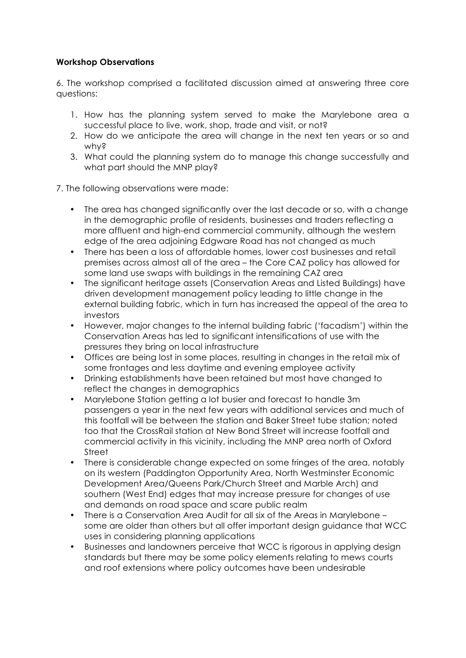# **Workshop Observations**

6. The workshop comprised a facilitated discussion aimed at answering three core questions:

- 1. How has the planning system served to make the Marylebone area a successful place to live, work, shop, trade and visit, or not?
- 2. How do we anticipate the area will change in the next ten years or so and why?
- 3. What could the planning system do to manage this change successfully and what part should the MNP play?
- 7. The following observations were made:
	- The area has changed significantly over the last decade or so, with a change in the demographic profile of residents, businesses and traders reflecting a more affluent and high-end commercial community, although the western edge of the area adjoining Edgware Road has not changed as much
	- There has been a loss of affordable homes, lower cost businesses and retail premises across almost all of the area – the Core CAZ policy has allowed for some land use swaps with buildings in the remaining CAZ area
	- The significant heritage assets (Conservation Areas and Listed Buildings) have driven development management policy leading to little change in the external building fabric, which in turn has increased the appeal of the area to investors
	- However, major changes to the internal building fabric ('facadism') within the Conservation Areas has led to significant intensifications of use with the pressures they bring on local infrastructure
	- Offices are being lost in some places, resulting in changes in the retail mix of some frontages and less daytime and evening employee activity
	- Drinking establishments have been retained but most have changed to reflect the changes in demographics
	- Marylebone Station getting a lot busier and forecast to handle 3m passengers a year in the next few years with additional services and much of this footfall will be between the station and Baker Street tube station; noted too that the CrossRail station at New Bond Street will increase footfall and commercial activity in this vicinity, including the MNP area north of Oxford Street
	- There is considerable change expected on some fringes of the area, notably on its western (Paddington Opportunity Area, North Westminster Economic Development Area/Queens Park/Church Street and Marble Arch) and southern (West End) edges that may increase pressure for changes of use and demands on road space and scare public realm
	- There is a Conservation Area Audit for all six of the Areas in Marylebone some are older than others but all offer important design guidance that WCC uses in considering planning applications
	- Businesses and landowners perceive that WCC is rigorous in applying design standards but there may be some policy elements relating to mews courts and roof extensions where policy outcomes have been undesirable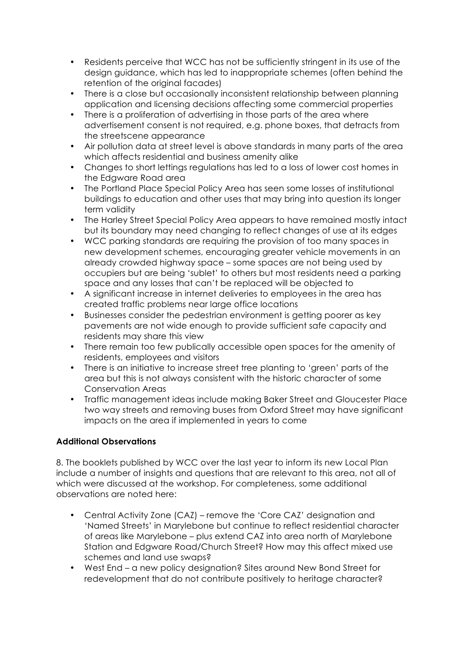- Residents perceive that WCC has not be sufficiently stringent in its use of the design guidance, which has led to inappropriate schemes (often behind the retention of the original facades)
- There is a close but occasionally inconsistent relationship between planning application and licensing decisions affecting some commercial properties
- There is a proliferation of advertising in those parts of the area where advertisement consent is not required, e.g. phone boxes, that detracts from the streetscene appearance
- Air pollution data at street level is above standards in many parts of the area which affects residential and business amenity alike
- Changes to short lettings regulations has led to a loss of lower cost homes in the Edgware Road area
- The Portland Place Special Policy Area has seen some losses of institutional buildings to education and other uses that may bring into question its longer term validity
- The Harley Street Special Policy Area appears to have remained mostly intact but its boundary may need changing to reflect changes of use at its edges
- WCC parking standards are requiring the provision of too many spaces in new development schemes, encouraging greater vehicle movements in an already crowded highway space – some spaces are not being used by occupiers but are being 'sublet' to others but most residents need a parking space and any losses that can't be replaced will be objected to
- A significant increase in internet deliveries to employees in the area has created traffic problems near large office locations
- Businesses consider the pedestrian environment is getting poorer as key pavements are not wide enough to provide sufficient safe capacity and residents may share this view
- There remain too few publically accessible open spaces for the amenity of residents, employees and visitors
- There is an initiative to increase street tree planting to 'green' parts of the area but this is not always consistent with the historic character of some Conservation Areas
- Traffic management ideas include making Baker Street and Gloucester Place two way streets and removing buses from Oxford Street may have significant impacts on the area if implemented in years to come

# **Additional Observations**

8. The booklets published by WCC over the last year to inform its new Local Plan include a number of insights and questions that are relevant to this area, not all of which were discussed at the workshop. For completeness, some additional observations are noted here:

- Central Activity Zone (CAZ) remove the 'Core CAZ' designation and 'Named Streets' in Marylebone but continue to reflect residential character of areas like Marylebone – plus extend CAZ into area north of Marylebone Station and Edgware Road/Church Street? How may this affect mixed use schemes and land use swaps?
- West End a new policy designation? Sites around New Bond Street for redevelopment that do not contribute positively to heritage character?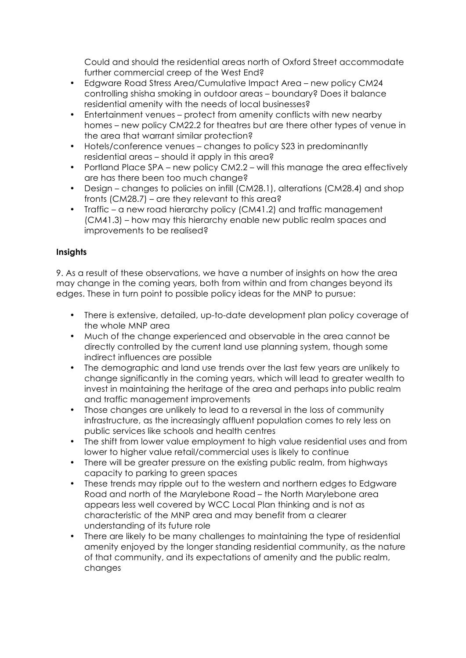Could and should the residential areas north of Oxford Street accommodate further commercial creep of the West End?

- Edgware Road Stress Area/Cumulative Impact Area new policy CM24 controlling shisha smoking in outdoor areas – boundary? Does it balance residential amenity with the needs of local businesses?
- Entertainment venues protect from amenity conflicts with new nearby homes – new policy CM22.2 for theatres but are there other types of venue in the area that warrant similar protection?
- Hotels/conference venues changes to policy S23 in predominantly residential areas – should it apply in this area?
- Portland Place SPA new policy CM2.2 will this manage the area effectively are has there been too much change?
- Design changes to policies on infill (CM28.1), alterations (CM28.4) and shop fronts (CM28.7) – are they relevant to this area?
- Traffic a new road hierarchy policy (CM41.2) and traffic management (CM41.3) – how may this hierarchy enable new public realm spaces and improvements to be realised?

# **Insights**

9. As a result of these observations, we have a number of insights on how the area may change in the coming years, both from within and from changes beyond its edges. These in turn point to possible policy ideas for the MNP to pursue:

- There is extensive, detailed, up-to-date development plan policy coverage of the whole MNP area
- Much of the change experienced and observable in the area cannot be directly controlled by the current land use planning system, though some indirect influences are possible
- The demographic and land use trends over the last few years are unlikely to change significantly in the coming years, which will lead to greater wealth to invest in maintaining the heritage of the area and perhaps into public realm and traffic management improvements
- Those changes are unlikely to lead to a reversal in the loss of community infrastructure, as the increasingly affluent population comes to rely less on public services like schools and health centres
- The shift from lower value employment to high value residential uses and from lower to higher value retail/commercial uses is likely to continue
- There will be greater pressure on the existing public realm, from highways capacity to parking to green spaces
- These trends may ripple out to the western and northern edges to Edgware Road and north of the Marylebone Road – the North Marylebone area appears less well covered by WCC Local Plan thinking and is not as characteristic of the MNP area and may benefit from a clearer understanding of its future role
- There are likely to be many challenges to maintaining the type of residential amenity enjoyed by the longer standing residential community, as the nature of that community, and its expectations of amenity and the public realm, changes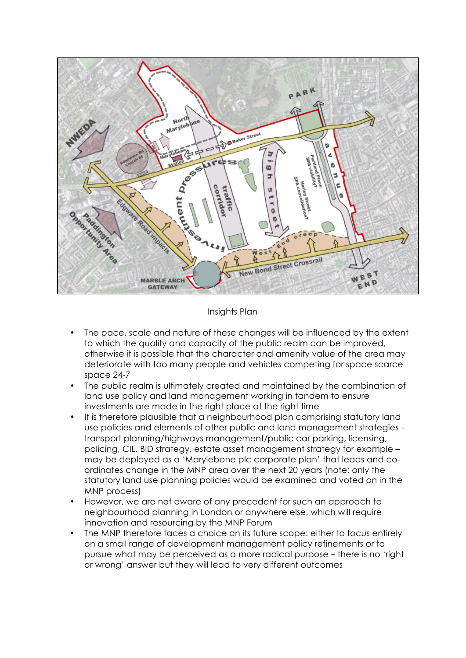

#### Insights Plan

- The pace, scale and nature of these changes will be influenced by the extent to which the quality and capacity of the public realm can be improved, otherwise it is possible that the character and amenity value of the area may deteriorate with too many people and vehicles competing for space scarce space 24-7
- The public realm is ultimately created and maintained by the combination of land use policy and land management working in tandem to ensure investments are made in the right place at the right time
- It is therefore plausible that a neighbourhood plan comprising statutory land use policies and elements of other public and land management strategies – transport planning/highways management/public car parking, licensing, policing, CIL, BID strategy, estate asset management strategy for example – may be deployed as a 'Marylebone plc corporate plan' that leads and coordinates change in the MNP area over the next 20 years (note: only the statutory land use planning policies would be examined and voted on in the MNP process)
- However, we are not aware of any precedent for such an approach to neighbourhood planning in London or anywhere else, which will require innovation and resourcing by the MNP Forum
- The MNP therefore faces a choice on its future scope: either to focus entirely on a small range of development management policy refinements or to pursue what may be perceived as a more radical purpose – there is no 'right or wrong' answer but they will lead to very different outcomes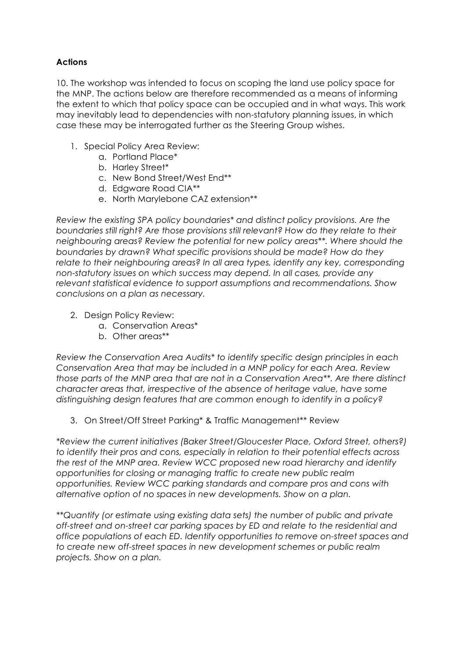# **Actions**

10. The workshop was intended to focus on scoping the land use policy space for the MNP. The actions below are therefore recommended as a means of informing the extent to which that policy space can be occupied and in what ways. This work may inevitably lead to dependencies with non-statutory planning issues, in which case these may be interrogated further as the Steering Group wishes.

- 1. Special Policy Area Review:
	- a. Portland Place\*
	- b. Harley Street\*
	- c. New Bond Street/West End\*\*
	- d. Edgware Road CIA\*\*
	- e. North Marylebone CAZ extension\*\*

*Review the existing SPA policy boundaries\* and distinct policy provisions. Are the boundaries still right? Are those provisions still relevant? How do they relate to their neighbouring areas? Review the potential for new policy areas\*\*. Where should the boundaries by drawn? What specific provisions should be made? How do they relate to their neighbouring areas? In all area types, identify any key, corresponding non-statutory issues on which success may depend. In all cases, provide any relevant statistical evidence to support assumptions and recommendations. Show conclusions on a plan as necessary.*

- 2. Design Policy Review:
	- a. Conservation Areas\*
	- b. Other areas\*\*

*Review the Conservation Area Audits\* to identify specific design principles in each Conservation Area that may be included in a MNP policy for each Area. Review those parts of the MNP area that are not in a Conservation Area\*\*. Are there distinct character areas that, irrespective of the absence of heritage value, have some distinguishing design features that are common enough to identify in a policy?*

3. On Street/Off Street Parking\* & Traffic Management\*\* Review

*\*Review the current initiatives (Baker Street/Gloucester Place, Oxford Street, others?) to identify their pros and cons, especially in relation to their potential effects across the rest of the MNP area. Review WCC proposed new road hierarchy and identify opportunities for closing or managing traffic to create new public realm opportunities. Review WCC parking standards and compare pros and cons with alternative option of no spaces in new developments. Show on a plan.*

*\*\*Quantify (or estimate using existing data sets) the number of public and private off-street and on-street car parking spaces by ED and relate to the residential and office populations of each ED. Identify opportunities to remove on-street spaces and to create new off-street spaces in new development schemes or public realm projects. Show on a plan.*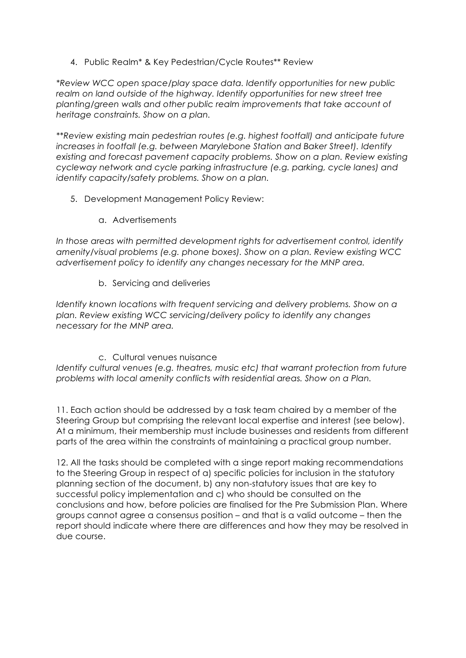4. Public Realm\* & Key Pedestrian/Cycle Routes\*\* Review

*\*Review WCC open space/play space data. Identify opportunities for new public realm on land outside of the highway. Identify opportunities for new street tree planting/green walls and other public realm improvements that take account of heritage constraints. Show on a plan.*

*\*\*Review existing main pedestrian routes (e.g. highest footfall) and anticipate future increases in footfall (e.g. between Marylebone Station and Baker Street). Identify existing and forecast pavement capacity problems. Show on a plan. Review existing cycleway network and cycle parking infrastructure (e.g. parking, cycle lanes) and identify capacity/safety problems. Show on a plan.* 

- 5. Development Management Policy Review:
	- a. Advertisements

*In those areas with permitted development rights for advertisement control, identify amenity/visual problems (e.g. phone boxes). Show on a plan. Review existing WCC advertisement policy to identify any changes necessary for the MNP area.*

b. Servicing and deliveries

*Identify known locations with frequent servicing and delivery problems. Show on a plan. Review existing WCC servicing/delivery policy to identify any changes necessary for the MNP area.*

# c. Cultural venues nuisance

*Identify cultural venues (e.g. theatres, music etc) that warrant protection from future problems with local amenity conflicts with residential areas. Show on a Plan.*

11. Each action should be addressed by a task team chaired by a member of the Steering Group but comprising the relevant local expertise and interest (see below). At a minimum, their membership must include businesses and residents from different parts of the area within the constraints of maintaining a practical group number.

12. All the tasks should be completed with a singe report making recommendations to the Steering Group in respect of a) specific policies for inclusion in the statutory planning section of the document, b) any non-statutory issues that are key to successful policy implementation and c) who should be consulted on the conclusions and how, before policies are finalised for the Pre Submission Plan. Where groups cannot agree a consensus position – and that is a valid outcome – then the report should indicate where there are differences and how they may be resolved in due course.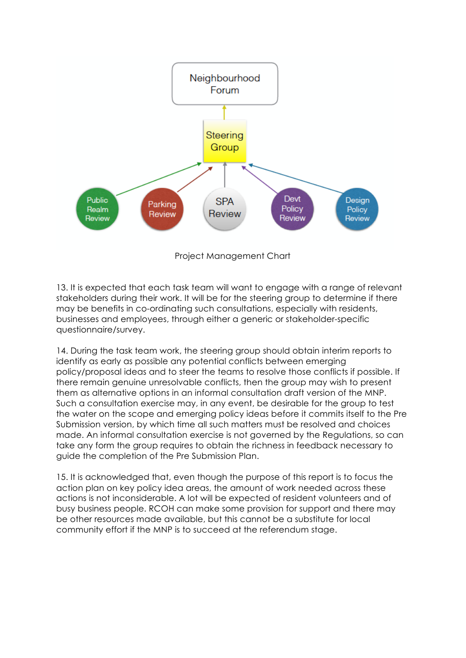

13. It is expected that each task team will want to engage with a range of relevant stakeholders during their work. It will be for the steering group to determine if there may be benefits in co-ordinating such consultations, especially with residents, businesses and employees, through either a generic or stakeholder-specific questionnaire/survey.

14. During the task team work, the steering group should obtain interim reports to identify as early as possible any potential conflicts between emerging policy/proposal ideas and to steer the teams to resolve those conflicts if possible. If there remain genuine unresolvable conflicts, then the group may wish to present them as alternative options in an informal consultation draft version of the MNP. Such a consultation exercise may, in any event, be desirable for the group to test the water on the scope and emerging policy ideas before it commits itself to the Pre Submission version, by which time all such matters must be resolved and choices made. An informal consultation exercise is not governed by the Regulations, so can take any form the group requires to obtain the richness in feedback necessary to guide the completion of the Pre Submission Plan.

15. It is acknowledged that, even though the purpose of this report is to focus the action plan on key policy idea areas, the amount of work needed across these actions is not inconsiderable. A lot will be expected of resident volunteers and of busy business people. RCOH can make some provision for support and there may be other resources made available, but this cannot be a substitute for local community effort if the MNP is to succeed at the referendum stage.